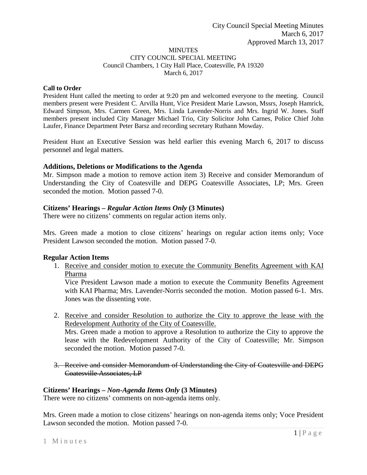#### **MINUTES** CITY COUNCIL SPECIAL MEETING Council Chambers, 1 City Hall Place, Coatesville, PA 19320 March 6, 2017

#### **Call to Order**

President Hunt called the meeting to order at 9:20 pm and welcomed everyone to the meeting. Council members present were President C. Arvilla Hunt, Vice President Marie Lawson, Mssrs, Joseph Hamrick, Edward Simpson, Mrs. Carmen Green, Mrs. Linda Lavender-Norris and Mrs. Ingrid W. Jones. Staff members present included City Manager Michael Trio, City Solicitor John Carnes, Police Chief John Laufer, Finance Department Peter Barsz and recording secretary Ruthann Mowday.

President Hunt an Executive Session was held earlier this evening March 6, 2017 to discuss personnel and legal matters.

#### **Additions, Deletions or Modifications to the Agenda**

Mr. Simpson made a motion to remove action item 3) Receive and consider Memorandum of Understanding the City of Coatesville and DEPG Coatesville Associates, LP; Mrs. Green seconded the motion. Motion passed 7-0.

## **Citizens' Hearings –** *Regular Action Items Only* **(3 Minutes)**

There were no citizens' comments on regular action items only.

Mrs. Green made a motion to close citizens' hearings on regular action items only; Voce President Lawson seconded the motion. Motion passed 7-0.

## **Regular Action Items**

1. Receive and consider motion to execute the Community Benefits Agreement with KAI Pharma

Vice President Lawson made a motion to execute the Community Benefits Agreement with KAI Pharma; Mrs. Lavender-Norris seconded the motion. Motion passed 6-1. Mrs. Jones was the dissenting vote.

2. Receive and consider Resolution to authorize the City to approve the lease with the Redevelopment Authority of the City of Coatesville.

Mrs. Green made a motion to approve a Resolution to authorize the City to approve the lease with the Redevelopment Authority of the City of Coatesville; Mr. Simpson seconded the motion. Motion passed 7-0.

3. Receive and consider Memorandum of Understanding the City of Coatesville and DEPG Coatesville Associates, LP

## **Citizens' Hearings –** *Non-Agenda Items Only* **(3 Minutes)**

There were no citizens' comments on non-agenda items only.

Mrs. Green made a motion to close citizens' hearings on non-agenda items only; Voce President Lawson seconded the motion. Motion passed 7-0.